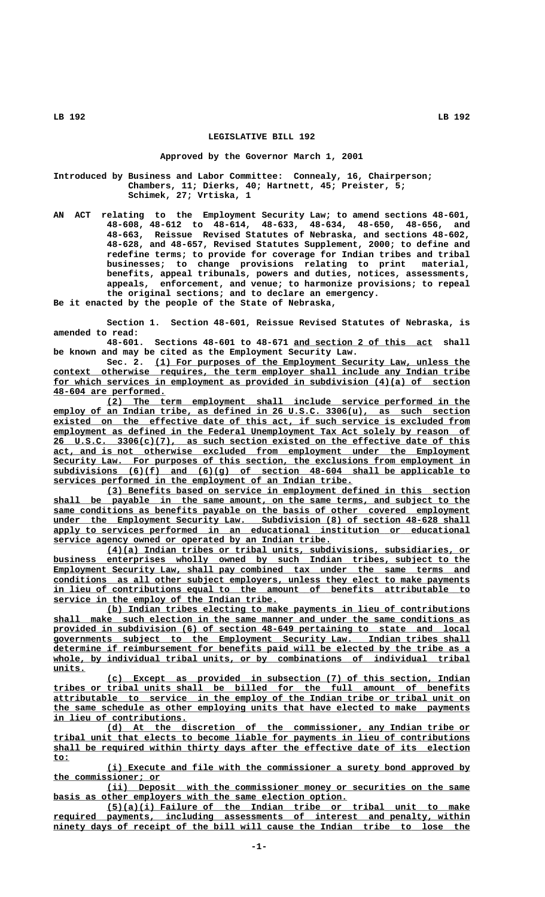### **LEGISLATIVE BILL 192**

### **Approved by the Governor March 1, 2001**

**Introduced by Business and Labor Committee: Connealy, 16, Chairperson; Chambers, 11; Dierks, 40; Hartnett, 45; Preister, 5; Schimek, 27; Vrtiska, 1**

**AN ACT relating to the Employment Security Law; to amend sections 48-601, 48-608, 48-612 to 48-614, 48-633, 48-634, 48-650, 48-656, and 48-663, Reissue Revised Statutes of Nebraska, and sections 48-602, 48-628, and 48-657, Revised Statutes Supplement, 2000; to define and redefine terms; to provide for coverage for Indian tribes and tribal businesses; to change provisions relating to print material, benefits, appeal tribunals, powers and duties, notices, assessments, appeals, enforcement, and venue; to harmonize provisions; to repeal the original sections; and to declare an emergency.**

**Be it enacted by the people of the State of Nebraska,**

**Section 1. Section 48-601, Reissue Revised Statutes of Nebraska, is amended to read:**

**48-601. Sections 48-601 to 48-671 and section 2 of this act shall \_\_\_\_\_\_\_\_\_\_\_\_\_\_\_\_\_\_\_\_\_\_\_\_\_\_ be known and may be cited as the Employment Security Law.**

Sec. 2. (1) For purposes of the Employment Security Law, unless the  **\_\_\_\_\_\_\_\_\_\_\_\_\_\_\_\_\_\_\_\_\_\_\_\_\_\_\_\_\_\_\_\_\_\_\_\_\_\_\_\_\_\_\_\_\_\_\_\_\_\_\_\_\_\_\_\_\_\_\_\_\_\_\_\_\_\_\_\_\_\_\_\_\_\_\_\_\_\_ context otherwise requires, the term employer shall include any Indian tribe** for which services in employment as provided in subdivision (4)(a) of section  **\_\_\_\_\_\_\_\_\_\_\_\_\_\_\_\_\_\_\_\_\_ 48-604 are performed.**

 **\_\_\_\_\_\_\_\_\_\_\_\_\_\_\_\_\_\_\_\_\_\_\_\_\_\_\_\_\_\_\_\_\_\_\_\_\_\_\_\_\_\_\_\_\_\_\_\_\_\_\_\_\_\_\_\_\_\_\_\_\_\_\_\_\_\_\_\_ (2) The term employment shall include service performed in the \_\_\_\_\_\_\_\_\_\_\_\_\_\_\_\_\_\_\_\_\_\_\_\_\_\_\_\_\_\_\_\_\_\_\_\_\_\_\_\_\_\_\_\_\_\_\_\_\_\_\_\_\_\_\_\_\_\_\_\_\_\_\_\_\_\_\_\_\_\_\_\_\_\_\_\_\_\_ employ of an Indian tribe, as defined in 26 U.S.C. 3306(u), as such section \_\_\_\_\_\_\_\_\_\_\_\_\_\_\_\_\_\_\_\_\_\_\_\_\_\_\_\_\_\_\_\_\_\_\_\_\_\_\_\_\_\_\_\_\_\_\_\_\_\_\_\_\_\_\_\_\_\_\_\_\_\_\_\_\_\_\_\_\_\_\_\_\_\_\_\_\_\_ existed on the effective date of this act, if such service is excluded from \_\_\_\_\_\_\_\_\_\_\_\_\_\_\_\_\_\_\_\_\_\_\_\_\_\_\_\_\_\_\_\_\_\_\_\_\_\_\_\_\_\_\_\_\_\_\_\_\_\_\_\_\_\_\_\_\_\_\_\_\_\_\_\_\_\_\_\_\_\_\_\_\_\_\_\_\_\_ employment as defined in the Federal Unemployment Tax Act solely by reason of \_\_\_\_\_\_\_\_\_\_\_\_\_\_\_\_\_\_\_\_\_\_\_\_\_\_\_\_\_\_\_\_\_\_\_\_\_\_\_\_\_\_\_\_\_\_\_\_\_\_\_\_\_\_\_\_\_\_\_\_\_\_\_\_\_\_\_\_\_\_\_\_\_\_\_\_\_\_ 26 U.S.C. 3306(c)(7), as such section existed on the effective date of this \_\_\_\_\_\_\_\_\_\_\_\_\_\_\_\_\_\_\_\_\_\_\_\_\_\_\_\_\_\_\_\_\_\_\_\_\_\_\_\_\_\_\_\_\_\_\_\_\_\_\_\_\_\_\_\_\_\_\_\_\_\_\_\_\_\_\_\_\_\_\_\_\_\_\_\_\_\_ act, and is not otherwise excluded from employment under the Employment \_\_\_\_\_\_\_\_\_\_\_\_\_\_\_\_\_\_\_\_\_\_\_\_\_\_\_\_\_\_\_\_\_\_\_\_\_\_\_\_\_\_\_\_\_\_\_\_\_\_\_\_\_\_\_\_\_\_\_\_\_\_\_\_\_\_\_\_\_\_\_\_\_\_\_\_\_\_ Security Law. For purposes of this section, the exclusions from employment in \_\_\_\_\_\_\_\_\_\_\_\_\_\_\_\_\_\_\_\_\_\_\_\_\_\_\_\_\_\_\_\_\_\_\_\_\_\_\_\_\_\_\_\_\_\_\_\_\_\_\_\_\_\_\_\_\_\_\_\_\_\_\_\_\_\_\_\_\_\_\_\_\_\_\_\_\_\_ subdivisions (6)(f) and (6)(g) of section 48-604 shall be applicable to \_\_\_\_\_\_\_\_\_\_\_\_\_\_\_\_\_\_\_\_\_\_\_\_\_\_\_\_\_\_\_\_\_\_\_\_\_\_\_\_\_\_\_\_\_\_\_\_\_\_\_\_\_\_\_\_ services performed in the employment of an Indian tribe.**

 **\_\_\_\_\_\_\_\_\_\_\_\_\_\_\_\_\_\_\_\_\_\_\_\_\_\_\_\_\_\_\_\_\_\_\_\_\_\_\_\_\_\_\_\_\_\_\_\_\_\_\_\_\_\_\_\_\_\_\_\_\_\_\_\_\_\_\_\_ (3) Benefits based on service in employment defined in this section** shall be payable in the same amount, on the same terms, and subject to the same conditions as benefits payable on the basis of other covered employment under the Employment Security Law. Subdivision (8) of section 48-628 shall  **\_\_\_\_\_\_\_\_\_\_\_\_\_\_\_\_\_\_\_\_\_\_\_\_\_\_\_\_\_\_\_\_\_\_\_\_\_\_\_\_\_\_\_\_\_\_\_\_\_\_\_\_\_\_\_\_\_\_\_\_\_\_\_\_\_\_\_\_\_\_\_\_\_\_\_\_\_\_ apply to services performed in an educational institution or educational \_\_\_\_\_\_\_\_\_\_\_\_\_\_\_\_\_\_\_\_\_\_\_\_\_\_\_\_\_\_\_\_\_\_\_\_\_\_\_\_\_\_\_\_\_\_\_\_\_\_\_\_ service agency owned or operated by an Indian tribe.**

 **\_\_\_\_\_\_\_\_\_\_\_\_\_\_\_\_\_\_\_\_\_\_\_\_\_\_\_\_\_\_\_\_\_\_\_\_\_\_\_\_\_\_\_\_\_\_\_\_\_\_\_\_\_\_\_\_\_\_\_\_\_\_\_\_\_\_\_\_ (4)(a) Indian tribes or tribal units, subdivisions, subsidiaries, or \_\_\_\_\_\_\_\_\_\_\_\_\_\_\_\_\_\_\_\_\_\_\_\_\_\_\_\_\_\_\_\_\_\_\_\_\_\_\_\_\_\_\_\_\_\_\_\_\_\_\_\_\_\_\_\_\_\_\_\_\_\_\_\_\_\_\_\_\_\_\_\_\_\_\_\_\_\_ business enterprises wholly owned by such Indian tribes, subject to the** Employment Security Law, shall pay combined tax under the same terms and  **\_\_\_\_\_\_\_\_\_\_\_\_\_\_\_\_\_\_\_\_\_\_\_\_\_\_\_\_\_\_\_\_\_\_\_\_\_\_\_\_\_\_\_\_\_\_\_\_\_\_\_\_\_\_\_\_\_\_\_\_\_\_\_\_\_\_\_\_\_\_\_\_\_\_\_\_\_\_ conditions as all other subject employers, unless they elect to make payments \_\_\_\_\_\_\_\_\_\_\_\_\_\_\_\_\_\_\_\_\_\_\_\_\_\_\_\_\_\_\_\_\_\_\_\_\_\_\_\_\_\_\_\_\_\_\_\_\_\_\_\_\_\_\_\_\_\_\_\_\_\_\_\_\_\_\_\_\_\_\_\_\_\_\_\_\_\_ in lieu of contributions equal to the amount of benefits attributable to \_\_\_\_\_\_\_\_\_\_\_\_\_\_\_\_\_\_\_\_\_\_\_\_\_\_\_\_\_\_\_\_\_\_\_\_\_\_\_\_\_\_ service in the employ of the Indian tribe.**

 **\_\_\_\_\_\_\_\_\_\_\_\_\_\_\_\_\_\_\_\_\_\_\_\_\_\_\_\_\_\_\_\_\_\_\_\_\_\_\_\_\_\_\_\_\_\_\_\_\_\_\_\_\_\_\_\_\_\_\_\_\_\_\_\_\_\_\_\_ (b) Indian tribes electing to make payments in lieu of contributions \_\_\_\_\_\_\_\_\_\_\_\_\_\_\_\_\_\_\_\_\_\_\_\_\_\_\_\_\_\_\_\_\_\_\_\_\_\_\_\_\_\_\_\_\_\_\_\_\_\_\_\_\_\_\_\_\_\_\_\_\_\_\_\_\_\_\_\_\_\_\_\_\_\_\_\_\_\_ shall make such election in the same manner and under the same conditions as \_\_\_\_\_\_\_\_\_\_\_\_\_\_\_\_\_\_\_\_\_\_\_\_\_\_\_\_\_\_\_\_\_\_\_\_\_\_\_\_\_\_\_\_\_\_\_\_\_\_\_\_\_\_\_\_\_\_\_\_\_\_\_\_\_\_\_\_\_\_\_\_\_\_\_\_\_\_ provided in subdivision (6) of section 48-649 pertaining to state and local \_\_\_\_\_\_\_\_\_\_\_\_\_\_\_\_\_\_\_\_\_\_\_\_\_\_\_\_\_\_\_\_\_\_\_\_\_\_\_\_\_\_\_\_\_\_\_\_\_\_\_\_\_\_\_\_\_\_\_\_\_\_\_\_\_\_\_\_\_\_\_\_\_\_\_\_\_\_ governments subject to the Employment Security Law. Indian tribes shall \_\_\_\_\_\_\_\_\_\_\_\_\_\_\_\_\_\_\_\_\_\_\_\_\_\_\_\_\_\_\_\_\_\_\_\_\_\_\_\_\_\_\_\_\_\_\_\_\_\_\_\_\_\_\_\_\_\_\_\_\_\_\_\_\_\_\_\_\_\_\_\_\_\_\_\_\_\_ determine if reimbursement for benefits paid will be elected by the tribe as a \_\_\_\_\_\_\_\_\_\_\_\_\_\_\_\_\_\_\_\_\_\_\_\_\_\_\_\_\_\_\_\_\_\_\_\_\_\_\_\_\_\_\_\_\_\_\_\_\_\_\_\_\_\_\_\_\_\_\_\_\_\_\_\_\_\_\_\_\_\_\_\_\_\_\_\_\_\_ whole, by individual tribal units, or by combinations of individual tribal units. \_\_\_\_\_\_**

 **\_\_\_\_\_\_\_\_\_\_\_\_\_\_\_\_\_\_\_\_\_\_\_\_\_\_\_\_\_\_\_\_\_\_\_\_\_\_\_\_\_\_\_\_\_\_\_\_\_\_\_\_\_\_\_\_\_\_\_\_\_\_\_\_\_\_\_\_ (c) Except as provided in subsection (7) of this section, Indian \_\_\_\_\_\_\_\_\_\_\_\_\_\_\_\_\_\_\_\_\_\_\_\_\_\_\_\_\_\_\_\_\_\_\_\_\_\_\_\_\_\_\_\_\_\_\_\_\_\_\_\_\_\_\_\_\_\_\_\_\_\_\_\_\_\_\_\_\_\_\_\_\_\_\_\_\_\_ tribes or tribal units shall be billed for the full amount of benefits \_\_\_\_\_\_\_\_\_\_\_\_\_\_\_\_\_\_\_\_\_\_\_\_\_\_\_\_\_\_\_\_\_\_\_\_\_\_\_\_\_\_\_\_\_\_\_\_\_\_\_\_\_\_\_\_\_\_\_\_\_\_\_\_\_\_\_\_\_\_\_\_\_\_\_\_\_\_ attributable to service in the employ of the Indian tribe or tribal unit on \_\_\_\_\_\_\_\_\_\_\_\_\_\_\_\_\_\_\_\_\_\_\_\_\_\_\_\_\_\_\_\_\_\_\_\_\_\_\_\_\_\_\_\_\_\_\_\_\_\_\_\_\_\_\_\_\_\_\_\_\_\_\_\_\_\_\_\_\_\_\_\_\_\_\_\_\_\_ the same schedule as other employing units that have elected to make payments \_\_\_\_\_\_\_\_\_\_\_\_\_\_\_\_\_\_\_\_\_\_\_\_\_ in lieu of contributions.**

 **\_\_\_\_\_\_\_\_\_\_\_\_\_\_\_\_\_\_\_\_\_\_\_\_\_\_\_\_\_\_\_\_\_\_\_\_\_\_\_\_\_\_\_\_\_\_\_\_\_\_\_\_\_\_\_\_\_\_\_\_\_\_\_\_\_\_\_\_ (d) At the discretion of the commissioner, any Indian tribe or \_\_\_\_\_\_\_\_\_\_\_\_\_\_\_\_\_\_\_\_\_\_\_\_\_\_\_\_\_\_\_\_\_\_\_\_\_\_\_\_\_\_\_\_\_\_\_\_\_\_\_\_\_\_\_\_\_\_\_\_\_\_\_\_\_\_\_\_\_\_\_\_\_\_\_\_\_\_ tribal unit that elects to become liable for payments in lieu of contributions \_\_\_\_\_\_\_\_\_\_\_\_\_\_\_\_\_\_\_\_\_\_\_\_\_\_\_\_\_\_\_\_\_\_\_\_\_\_\_\_\_\_\_\_\_\_\_\_\_\_\_\_\_\_\_\_\_\_\_\_\_\_\_\_\_\_\_\_\_\_\_\_\_\_\_\_\_\_ shall be required within thirty days after the effective date of its election to: \_\_\_**

 **\_\_\_\_\_\_\_\_\_\_\_\_\_\_\_\_\_\_\_\_\_\_\_\_\_\_\_\_\_\_\_\_\_\_\_\_\_\_\_\_\_\_\_\_\_\_\_\_\_\_\_\_\_\_\_\_\_\_\_\_\_\_\_\_\_\_\_\_ (i) Execute and file with the commissioner a surety bond approved by \_\_\_\_\_\_\_\_\_\_\_\_\_\_\_\_\_\_\_\_ the commissioner; or**

 **\_\_\_\_\_\_\_\_\_\_\_\_\_\_\_\_\_\_\_\_\_\_\_\_\_\_\_\_\_\_\_\_\_\_\_\_\_\_\_\_\_\_\_\_\_\_\_\_\_\_\_\_\_\_\_\_\_\_\_\_\_\_\_\_\_\_\_\_ (ii) Deposit with the commissioner money or securities on the same \_\_\_\_\_\_\_\_\_\_\_\_\_\_\_\_\_\_\_\_\_\_\_\_\_\_\_\_\_\_\_\_\_\_\_\_\_\_\_\_\_\_\_\_\_\_\_\_\_\_\_\_\_\_\_ basis as other employers with the same election option.**

 **\_\_\_\_\_\_\_\_\_\_\_\_\_\_\_\_\_\_\_\_\_\_\_\_\_\_\_\_\_\_\_\_\_\_\_\_\_\_\_\_\_\_\_\_\_\_\_\_\_\_\_\_\_\_\_\_\_\_\_\_\_\_\_\_\_\_\_\_ (5)(a)(i) Failure of the Indian tribe or tribal unit to make \_\_\_\_\_\_\_\_\_\_\_\_\_\_\_\_\_\_\_\_\_\_\_\_\_\_\_\_\_\_\_\_\_\_\_\_\_\_\_\_\_\_\_\_\_\_\_\_\_\_\_\_\_\_\_\_\_\_\_\_\_\_\_\_\_\_\_\_\_\_\_\_\_\_\_\_\_\_ required payments, including assessments of interest and penalty, within**  $n$ inety days of receipt of the bill will cause the Indian tribe to lose the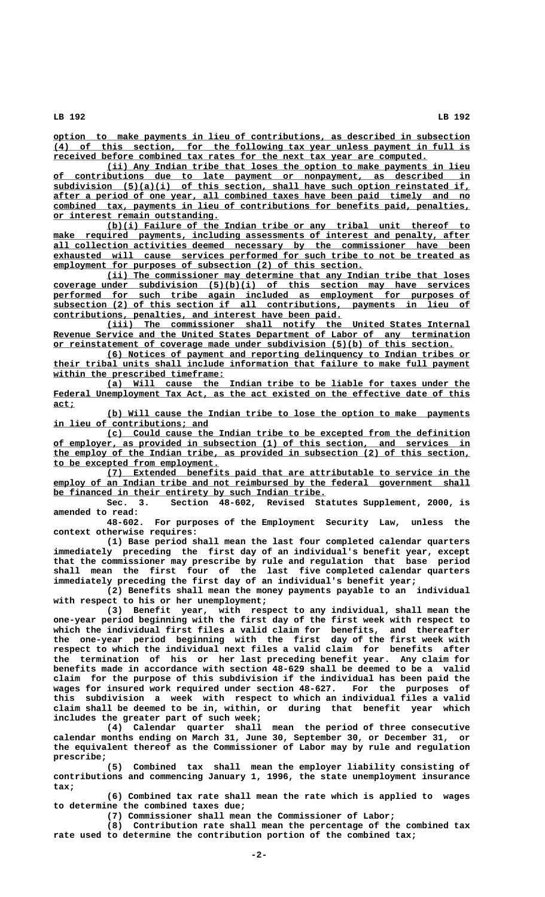**\_\_\_\_\_\_\_\_\_\_\_\_\_\_\_\_\_\_\_\_\_\_\_\_\_\_\_\_\_\_\_\_\_\_\_\_\_\_\_\_\_\_\_\_\_\_\_\_\_\_\_\_\_\_\_\_\_\_\_\_\_\_\_\_\_\_\_\_\_\_\_\_\_\_\_\_\_\_ option to make payments in lieu of contributions, as described in subsection \_\_\_\_\_\_\_\_\_\_\_\_\_\_\_\_\_\_\_\_\_\_\_\_\_\_\_\_\_\_\_\_\_\_\_\_\_\_\_\_\_\_\_\_\_\_\_\_\_\_\_\_\_\_\_\_\_\_\_\_\_\_\_\_\_\_\_\_\_\_\_\_\_\_\_\_\_\_ (4) of this section, for the following tax year unless payment in full is \_\_\_\_\_\_\_\_\_\_\_\_\_\_\_\_\_\_\_\_\_\_\_\_\_\_\_\_\_\_\_\_\_\_\_\_\_\_\_\_\_\_\_\_\_\_\_\_\_\_\_\_\_\_\_\_\_\_\_\_\_\_\_\_\_\_\_\_\_\_ received before combined tax rates for the next tax year are computed.**

 **\_\_\_\_\_\_\_\_\_\_\_\_\_\_\_\_\_\_\_\_\_\_\_\_\_\_\_\_\_\_\_\_\_\_\_\_\_\_\_\_\_\_\_\_\_\_\_\_\_\_\_\_\_\_\_\_\_\_\_\_\_\_\_\_\_\_\_\_ (ii) Any Indian tribe that loses the option to make payments in lieu \_\_\_\_\_\_\_\_\_\_\_\_\_\_\_\_\_\_\_\_\_\_\_\_\_\_\_\_\_\_\_\_\_\_\_\_\_\_\_\_\_\_\_\_\_\_\_\_\_\_\_\_\_\_\_\_\_\_\_\_\_\_\_\_\_\_\_\_\_\_\_\_\_\_\_\_\_\_ of contributions due to late payment or nonpayment, as described in \_\_\_\_\_\_\_\_\_\_\_\_\_\_\_\_\_\_\_\_\_\_\_\_\_\_\_\_\_\_\_\_\_\_\_\_\_\_\_\_\_\_\_\_\_\_\_\_\_\_\_\_\_\_\_\_\_\_\_\_\_\_\_\_\_\_\_\_\_\_\_\_\_\_\_\_\_\_ subdivision (5)(a)(i) of this section, shall have such option reinstated if, \_\_\_\_\_\_\_\_\_\_\_\_\_\_\_\_\_\_\_\_\_\_\_\_\_\_\_\_\_\_\_\_\_\_\_\_\_\_\_\_\_\_\_\_\_\_\_\_\_\_\_\_\_\_\_\_\_\_\_\_\_\_\_\_\_\_\_\_\_\_\_\_\_\_\_\_\_\_ after a period of one year, all combined taxes have been paid timely and no \_\_\_\_\_\_\_\_\_\_\_\_\_\_\_\_\_\_\_\_\_\_\_\_\_\_\_\_\_\_\_\_\_\_\_\_\_\_\_\_\_\_\_\_\_\_\_\_\_\_\_\_\_\_\_\_\_\_\_\_\_\_\_\_\_\_\_\_\_\_\_\_\_\_\_\_\_\_ combined tax, payments in lieu of contributions for benefits paid, penalties, \_\_\_\_\_\_\_\_\_\_\_\_\_\_\_\_\_\_\_\_\_\_\_\_\_\_\_\_\_\_\_ or interest remain outstanding.**

 **\_\_\_\_\_\_\_\_\_\_\_\_\_\_\_\_\_\_\_\_\_\_\_\_\_\_\_\_\_\_\_\_\_\_\_\_\_\_\_\_\_\_\_\_\_\_\_\_\_\_\_\_\_\_\_\_\_\_\_\_\_\_\_\_\_\_\_\_ (b)(i) Failure of the Indian tribe or any tribal unit thereof to**  $\frac{make}{make}$  required payments, including assessments of interest and penalty, after  **\_\_\_\_\_\_\_\_\_\_\_\_\_\_\_\_\_\_\_\_\_\_\_\_\_\_\_\_\_\_\_\_\_\_\_\_\_\_\_\_\_\_\_\_\_\_\_\_\_\_\_\_\_\_\_\_\_\_\_\_\_\_\_\_\_\_\_\_\_\_\_\_\_\_\_\_\_\_ all collection activities deemed necessary by the commissioner have been** exhausted will cause services performed for such tribe to not be treated as  **\_\_\_\_\_\_\_\_\_\_\_\_\_\_\_\_\_\_\_\_\_\_\_\_\_\_\_\_\_\_\_\_\_\_\_\_\_\_\_\_\_\_\_\_\_\_\_\_\_\_\_\_\_\_\_\_\_\_ employment for purposes of subsection (2) of this section.**

 **\_\_\_\_\_\_\_\_\_\_\_\_\_\_\_\_\_\_\_\_\_\_\_\_\_\_\_\_\_\_\_\_\_\_\_\_\_\_\_\_\_\_\_\_\_\_\_\_\_\_\_\_\_\_\_\_\_\_\_\_\_\_\_\_\_\_\_\_ (ii) The commissioner may determine that any Indian tribe that loses \_\_\_\_\_\_\_\_\_\_\_\_\_\_\_\_\_\_\_\_\_\_\_\_\_\_\_\_\_\_\_\_\_\_\_\_\_\_\_\_\_\_\_\_\_\_\_\_\_\_\_\_\_\_\_\_\_\_\_\_\_\_\_\_\_\_\_\_\_\_\_\_\_\_\_\_\_\_ coverage under subdivision (5)(b)(i) of this section may have services** performed for such tribe again included as employment for purposes of  **\_\_\_\_\_\_\_\_\_\_\_\_\_\_\_\_\_\_\_\_\_\_\_\_\_\_\_\_\_\_\_\_\_\_\_\_\_\_\_\_\_\_\_\_\_\_\_\_\_\_\_\_\_\_\_\_\_\_\_\_\_\_\_\_\_\_\_\_\_\_\_\_\_\_\_\_\_\_ subsection (2) of this section if all contributions, payments in lieu of \_\_\_\_\_\_\_\_\_\_\_\_\_\_\_\_\_\_\_\_\_\_\_\_\_\_\_\_\_\_\_\_\_\_\_\_\_\_\_\_\_\_\_\_\_\_\_\_\_\_\_\_\_\_ contributions, penalties, and interest have been paid.**

 **\_\_\_\_\_\_\_\_\_\_\_\_\_\_\_\_\_\_\_\_\_\_\_\_\_\_\_\_\_\_\_\_\_\_\_\_\_\_\_\_\_\_\_\_\_\_\_\_\_\_\_\_\_\_\_\_\_\_\_\_\_\_\_\_\_\_\_\_ (iii) The commissioner shall notify the United States Internal** Revenue Service and the United States Department of Labor of any termination  **\_\_\_\_\_\_\_\_\_\_\_\_\_\_\_\_\_\_\_\_\_\_\_\_\_\_\_\_\_\_\_\_\_\_\_\_\_\_\_\_\_\_\_\_\_\_\_\_\_\_\_\_\_\_\_\_\_\_\_\_\_\_\_\_\_\_\_\_\_\_\_\_\_\_\_ or reinstatement of coverage made under subdivision (5)(b) of this section.**

 **\_\_\_\_\_\_\_\_\_\_\_\_\_\_\_\_\_\_\_\_\_\_\_\_\_\_\_\_\_\_\_\_\_\_\_\_\_\_\_\_\_\_\_\_\_\_\_\_\_\_\_\_\_\_\_\_\_\_\_\_\_\_\_\_\_\_\_\_ (6) Notices of payment and reporting delinquency to Indian tribes or \_\_\_\_\_\_\_\_\_\_\_\_\_\_\_\_\_\_\_\_\_\_\_\_\_\_\_\_\_\_\_\_\_\_\_\_\_\_\_\_\_\_\_\_\_\_\_\_\_\_\_\_\_\_\_\_\_\_\_\_\_\_\_\_\_\_\_\_\_\_\_\_\_\_\_\_\_\_ their tribal units shall include information that failure to make full payment \_\_\_\_\_\_\_\_\_\_\_\_\_\_\_\_\_\_\_\_\_\_\_\_\_\_\_\_\_\_\_\_ within the prescribed timeframe:**

 **\_\_\_\_\_\_\_\_\_\_\_\_\_\_\_\_\_\_\_\_\_\_\_\_\_\_\_\_\_\_\_\_\_\_\_\_\_\_\_\_\_\_\_\_\_\_\_\_\_\_\_\_\_\_\_\_\_\_\_\_\_\_\_\_\_\_\_\_ (a) Will cause the Indian tribe to be liable for taxes under the** Federal Unemployment Tax Act, as the act existed on the effective date of this  **act; \_\_\_\_**

 **\_\_\_\_\_\_\_\_\_\_\_\_\_\_\_\_\_\_\_\_\_\_\_\_\_\_\_\_\_\_\_\_\_\_\_\_\_\_\_\_\_\_\_\_\_\_\_\_\_\_\_\_\_\_\_\_\_\_\_\_\_\_\_\_\_\_\_\_ (b) Will cause the Indian tribe to lose the option to make payments \_\_\_\_\_\_\_\_\_\_\_\_\_\_\_\_\_\_\_\_\_\_\_\_\_\_\_\_\_ in lieu of contributions; and**

 **\_\_\_\_\_\_\_\_\_\_\_\_\_\_\_\_\_\_\_\_\_\_\_\_\_\_\_\_\_\_\_\_\_\_\_\_\_\_\_\_\_\_\_\_\_\_\_\_\_\_\_\_\_\_\_\_\_\_\_\_\_\_\_\_\_\_\_\_ (c) Could cause the Indian tribe to be excepted from the definition \_\_\_\_\_\_\_\_\_\_\_\_\_\_\_\_\_\_\_\_\_\_\_\_\_\_\_\_\_\_\_\_\_\_\_\_\_\_\_\_\_\_\_\_\_\_\_\_\_\_\_\_\_\_\_\_\_\_\_\_\_\_\_\_\_\_\_\_\_\_\_\_\_\_\_\_\_\_ of employer, as provided in subsection (1) of this section, and services in \_\_\_\_\_\_\_\_\_\_\_\_\_\_\_\_\_\_\_\_\_\_\_\_\_\_\_\_\_\_\_\_\_\_\_\_\_\_\_\_\_\_\_\_\_\_\_\_\_\_\_\_\_\_\_\_\_\_\_\_\_\_\_\_\_\_\_\_\_\_\_\_\_\_\_\_\_\_ the employ of the Indian tribe, as provided in subsection (2) of this section, \_\_\_\_\_\_\_\_\_\_\_\_\_\_\_\_\_\_\_\_\_\_\_\_\_\_\_\_\_\_\_ to be excepted from employment.**

 **\_\_\_\_\_\_\_\_\_\_\_\_\_\_\_\_\_\_\_\_\_\_\_\_\_\_\_\_\_\_\_\_\_\_\_\_\_\_\_\_\_\_\_\_\_\_\_\_\_\_\_\_\_\_\_\_\_\_\_\_\_\_\_\_\_\_\_\_ (7) Extended benefits paid that are attributable to service in the**  $\epsilon$  employ of an Indian tribe and not reimbursed by the federal government shall  **\_\_\_\_\_\_\_\_\_\_\_\_\_\_\_\_\_\_\_\_\_\_\_\_\_\_\_\_\_\_\_\_\_\_\_\_\_\_\_\_\_\_\_\_\_\_\_\_\_\_\_ be financed in their entirety by such Indian tribe.**

**Sec. 3. Section 48-602, Revised Statutes Supplement, 2000, is amended to read:**

**48-602. For purposes of the Employment Security Law, unless the context otherwise requires:**

**(1) Base period shall mean the last four completed calendar quarters immediately preceding the first day of an individual's benefit year, except that the commissioner may prescribe by rule and regulation that base period shall mean the first four of the last five completed calendar quarters immediately preceding the first day of an individual's benefit year;**

**(2) Benefits shall mean the money payments payable to an individual with respect to his or her unemployment;**

**(3) Benefit year, with respect to any individual, shall mean the one-year period beginning with the first day of the first week with respect to which the individual first files a valid claim for benefits, and thereafter the one-year period beginning with the first day of the first week with respect to which the individual next files a valid claim for benefits after the termination of his or her last preceding benefit year. Any claim for benefits made in accordance with section 48-629 shall be deemed to be a valid claim for the purpose of this subdivision if the individual has been paid the wages for insured work required under section 48-627. For the purposes of this subdivision a week with respect to which an individual files a valid claim shall be deemed to be in, within, or during that benefit year which includes the greater part of such week;**

**(4) Calendar quarter shall mean the period of three consecutive calendar months ending on March 31, June 30, September 30, or December 31, or the equivalent thereof as the Commissioner of Labor may by rule and regulation prescribe;**

**(5) Combined tax shall mean the employer liability consisting of contributions and commencing January 1, 1996, the state unemployment insurance tax;**

**(6) Combined tax rate shall mean the rate which is applied to wages to determine the combined taxes due;**

**(7) Commissioner shall mean the Commissioner of Labor;**

**(8) Contribution rate shall mean the percentage of the combined tax rate used to determine the contribution portion of the combined tax;**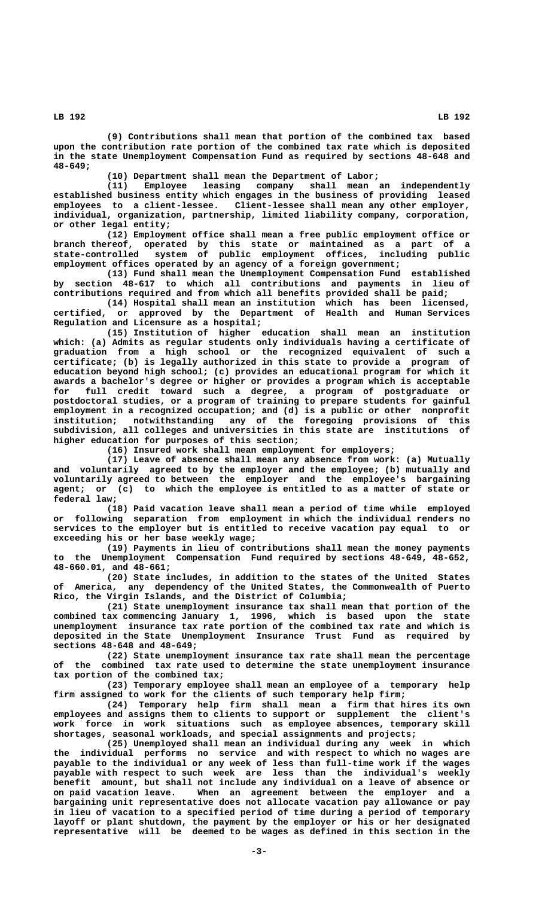**(9) Contributions shall mean that portion of the combined tax based upon the contribution rate portion of the combined tax rate which is deposited in the state Unemployment Compensation Fund as required by sections 48-648 and 48-649;**

**(10) Department shall mean the Department of Labor;**

**(11) Employee leasing company shall mean an independently established business entity which engages in the business of providing leased employees to a client-lessee. Client-lessee shall mean any other employer, individual, organization, partnership, limited liability company, corporation, or other legal entity;**

**(12) Employment office shall mean a free public employment office or branch thereof, operated by this state or maintained as a part of a state-controlled system of public employment offices, including public employment offices operated by an agency of a foreign government;**

**(13) Fund shall mean the Unemployment Compensation Fund established by section 48-617 to which all contributions and payments in lieu of contributions required and from which all benefits provided shall be paid;**

**(14) Hospital shall mean an institution which has been licensed, certified, or approved by the Department of Health and Human Services Regulation and Licensure as a hospital;**

**(15) Institution of higher education shall mean an institution which: (a) Admits as regular students only individuals having a certificate of graduation from a high school or the recognized equivalent of such a certificate; (b) is legally authorized in this state to provide a program of education beyond high school; (c) provides an educational program for which it awards a bachelor's degree or higher or provides a program which is acceptable for full credit toward such a degree, a program of postgraduate or postdoctoral studies, or a program of training to prepare students for gainful employment in a recognized occupation; and (d) is a public or other nonprofit institution; notwithstanding any of the foregoing provisions of this subdivision, all colleges and universities in this state are institutions of higher education for purposes of this section;**

**(16) Insured work shall mean employment for employers;**

**(17) Leave of absence shall mean any absence from work: (a) Mutually and voluntarily agreed to by the employer and the employee; (b) mutually and voluntarily agreed to between the employer and the employee's bargaining agent; or (c) to which the employee is entitled to as a matter of state or federal law;**

**(18) Paid vacation leave shall mean a period of time while employed or following separation from employment in which the individual renders no services to the employer but is entitled to receive vacation pay equal to or exceeding his or her base weekly wage;**

**(19) Payments in lieu of contributions shall mean the money payments to the Unemployment Compensation Fund required by sections 48-649, 48-652, 48-660.01, and 48-661;**

**(20) State includes, in addition to the states of the United States of America, any dependency of the United States, the Commonwealth of Puerto Rico, the Virgin Islands, and the District of Columbia;**

**(21) State unemployment insurance tax shall mean that portion of the combined tax commencing January 1, 1996, which is based upon the state unemployment insurance tax rate portion of the combined tax rate and which is deposited in the State Unemployment Insurance Trust Fund as required by sections 48-648 and 48-649;**

**(22) State unemployment insurance tax rate shall mean the percentage of the combined tax rate used to determine the state unemployment insurance tax portion of the combined tax;**

**(23) Temporary employee shall mean an employee of a temporary help firm assigned to work for the clients of such temporary help firm;**

**(24) Temporary help firm shall mean a firm that hires its own employees and assigns them to clients to support or supplement the client's work force in work situations such as employee absences, temporary skill shortages, seasonal workloads, and special assignments and projects;**

**(25) Unemployed shall mean an individual during any week in which the individual performs no service and with respect to which no wages are payable to the individual or any week of less than full-time work if the wages payable with respect to such week are less than the individual's weekly benefit amount, but shall not include any individual on a leave of absence or on paid vacation leave. When an agreement between the employer and a bargaining unit representative does not allocate vacation pay allowance or pay in lieu of vacation to a specified period of time during a period of temporary layoff or plant shutdown, the payment by the employer or his or her designated representative will be deemed to be wages as defined in this section in the**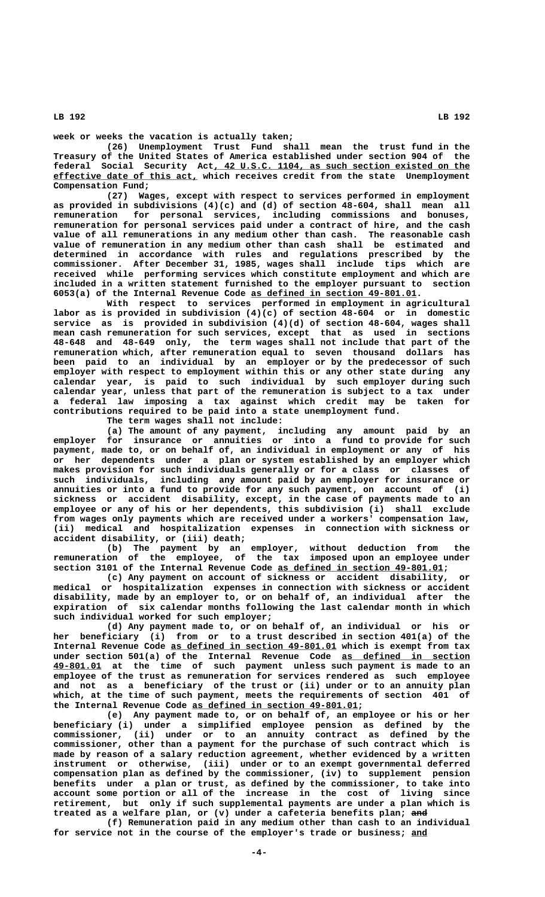**week or weeks the vacation is actually taken;**

**(26) Unemployment Trust Fund shall mean the trust fund in the Treasury of the United States of America established under section 904 of the \_\_\_\_\_\_\_\_\_\_\_\_\_\_\_\_\_\_\_\_\_\_\_\_\_\_\_\_\_\_\_\_\_\_\_\_\_\_\_\_\_\_\_\_\_\_\_\_ federal Social Security Act, 42 U.S.C. 1104, as such section existed on the \_\_\_\_\_\_\_\_\_\_\_\_\_\_\_\_\_\_\_\_\_\_\_\_\_\_\_ effective date of this act, which receives credit from the state Unemployment Compensation Fund;**

**(27) Wages, except with respect to services performed in employment as provided in subdivisions (4)(c) and (d) of section 48-604, shall mean all remuneration for personal services, including commissions and bonuses, remuneration for personal services paid under a contract of hire, and the cash value of all remunerations in any medium other than cash. The reasonable cash value of remuneration in any medium other than cash shall be estimated and determined in accordance with rules and regulations prescribed by the commissioner. After December 31, 1985, wages shall include tips which are received while performing services which constitute employment and which are included in a written statement furnished to the employer pursuant to section \_\_\_\_\_\_\_\_\_\_\_\_\_\_\_\_\_\_\_\_\_\_\_\_\_\_\_\_\_\_\_ 6053(a) of the Internal Revenue Code as defined in section 49-801.01.**

**With respect to services performed in employment in agricultural labor as is provided in subdivision (4)(c) of section 48-604 or in domestic service as is provided in subdivision (4)(d) of section 48-604, wages shall mean cash remuneration for such services, except that as used in sections 48-648 and 48-649 only, the term wages shall not include that part of the remuneration which, after remuneration equal to seven thousand dollars has been paid to an individual by an employer or by the predecessor of such employer with respect to employment within this or any other state during any calendar year, is paid to such individual by such employer during such calendar year, unless that part of the remuneration is subject to a tax under a federal law imposing a tax against which credit may be taken for contributions required to be paid into a state unemployment fund.**

**The term wages shall not include:**

**(a) The amount of any payment, including any amount paid by an employer for insurance or annuities or into a fund to provide for such payment, made to, or on behalf of, an individual in employment or any of his or her dependents under a plan or system established by an employer which makes provision for such individuals generally or for a class or classes of such individuals, including any amount paid by an employer for insurance or annuities or into a fund to provide for any such payment, on account of (i) sickness or accident disability, except, in the case of payments made to an employee or any of his or her dependents, this subdivision (i) shall exclude from wages only payments which are received under a workers' compensation law, (ii) medical and hospitalization expenses in connection with sickness or accident disability, or (iii) death;**

**(b) The payment by an employer, without deduction from the remuneration of the employee, of the tax imposed upon an employee under \_\_\_\_\_\_\_\_\_\_\_\_\_\_\_\_\_\_\_\_\_\_\_\_\_\_\_\_\_\_\_ section 3101 of the Internal Revenue Code as defined in section 49-801.01;**

**(c) Any payment on account of sickness or accident disability, or medical or hospitalization expenses in connection with sickness or accident disability, made by an employer to, or on behalf of, an individual after the expiration of six calendar months following the last calendar month in which such individual worked for such employer;**

**(d) Any payment made to, or on behalf of, an individual or his or her beneficiary (i) from or to a trust described in section 401(a) of the** Internal Revenue Code as defined in section 49-801.01 which is exempt from tax under section 501(a) of the Internal Revenue Code as defined in section  **\_\_\_\_\_\_\_\_\_ 49-801.01 at the time of such payment unless such payment is made to an employee of the trust as remuneration for services rendered as such employee and not as a beneficiary of the trust or (ii) under or to an annuity plan which, at the time of such payment, meets the requirements of section 401 of** the Internal Revenue Code as defined in section 49-801.01;

**(e) Any payment made to, or on behalf of, an employee or his or her beneficiary (i) under a simplified employee pension as defined by the commissioner, (ii) under or to an annuity contract as defined by the commissioner, other than a payment for the purchase of such contract which is made by reason of a salary reduction agreement, whether evidenced by a written instrument or otherwise, (iii) under or to an exempt governmental deferred compensation plan as defined by the commissioner, (iv) to supplement pension benefits under a plan or trust, as defined by the commissioner, to take into account some portion or all of the increase in the cost of living since retirement, but only if such supplemental payments are under a plan which is** treated as a welfare plan, or (v) under a cafeteria benefits plan; and

**(f) Remuneration paid in any medium other than cash to an individual for service not in the course of the employer's trade or business; and \_\_\_**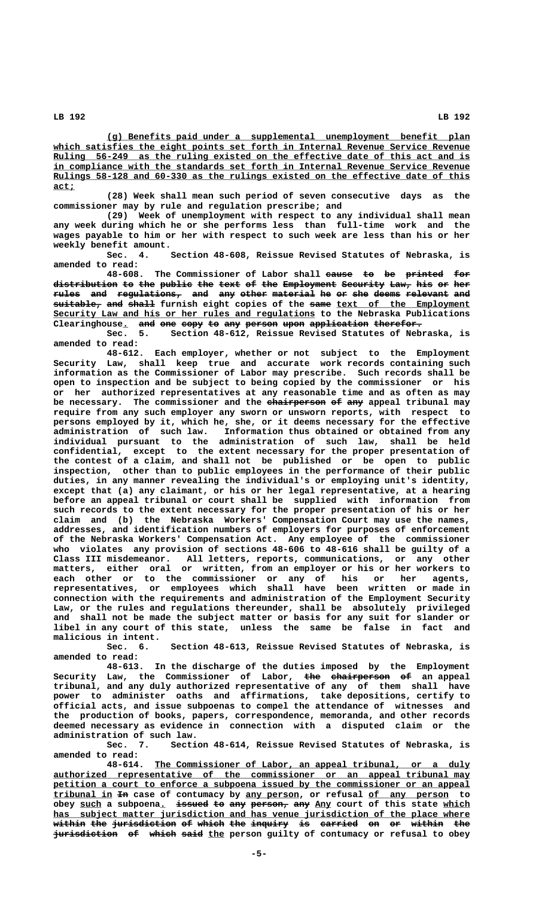**\_\_\_\_\_\_\_\_\_\_\_\_\_\_\_\_\_\_\_\_\_\_\_\_\_\_\_\_\_\_\_\_\_\_\_\_\_\_\_\_\_\_\_\_\_\_\_\_\_\_\_\_\_\_\_\_\_\_\_\_\_\_\_\_\_\_\_\_ (g) Benefits paid under a supplemental unemployment benefit plan** which satisfies the eight points set forth in Internal Revenue Service Revenue Ruling 56-249 as the ruling existed on the effective date of this act and is  **\_\_\_\_\_\_\_\_\_\_\_\_\_\_\_\_\_\_\_\_\_\_\_\_\_\_\_\_\_\_\_\_\_\_\_\_\_\_\_\_\_\_\_\_\_\_\_\_\_\_\_\_\_\_\_\_\_\_\_\_\_\_\_\_\_\_\_\_\_\_\_\_\_\_\_\_\_\_ in compliance with the standards set forth in Internal Revenue Service Revenue** Rulings 58-128 and 60-330 as the rulings existed on the effective date of this  **act; \_\_\_\_**

**(28) Week shall mean such period of seven consecutive days as the commissioner may by rule and regulation prescribe; and**

**(29) Week of unemployment with respect to any individual shall mean any week during which he or she performs less than full-time work and the wages payable to him or her with respect to such week are less than his or her weekly benefit amount.**

**Sec. 4. Section 48-608, Reissue Revised Statutes of Nebraska, is amended to read:**

**48-608.** The Commissioner of Labor shall eause to be printed for distribution to the public the text of the Employment Security Law, his or her  $r$ ules and regulations, and any other material he or she deems relevant and **suitable, and shall furnish eight copies of the same text of the Employment ————————— ——— ————— ———— \_\_\_\_\_\_\_\_\_\_\_\_\_\_\_\_\_\_\_\_\_\_\_\_\_ \_\_\_\_\_\_\_\_\_\_\_\_\_\_\_\_\_\_\_\_\_\_\_\_\_\_\_\_\_\_\_\_\_\_\_\_\_\_\_\_\_\_\_\_\_\_\_\_\_ Security Law and his or her rules and regulations to the Nebraska Publications** Clearinghouse. and one copy to any person upon application therefor.

**Sec. 5. Section 48-612, Reissue Revised Statutes of Nebraska, is amended to read:**

**48-612. Each employer, whether or not subject to the Employment Security Law, shall keep true and accurate work records containing such information as the Commissioner of Labor may prescribe. Such records shall be open to inspection and be subject to being copied by the commissioner or his or her authorized representatives at any reasonable time and as often as may** be necessary. The commissioner and the chairperson of any appeal tribunal may **require from any such employer any sworn or unsworn reports, with respect to persons employed by it, which he, she, or it deems necessary for the effective administration of such law. Information thus obtained or obtained from any individual pursuant to the administration of such law, shall be held confidential, except to the extent necessary for the proper presentation of the contest of a claim, and shall not be published or be open to public inspection, other than to public employees in the performance of their public duties, in any manner revealing the individual's or employing unit's identity, except that (a) any claimant, or his or her legal representative, at a hearing before an appeal tribunal or court shall be supplied with information from such records to the extent necessary for the proper presentation of his or her claim and (b) the Nebraska Workers' Compensation Court may use the names, addresses, and identification numbers of employers for purposes of enforcement of the Nebraska Workers' Compensation Act. Any employee of the commissioner who violates any provision of sections 48-606 to 48-616 shall be guilty of a Class III misdemeanor. All letters, reports, communications, or any other matters, either oral or written, from an employer or his or her workers to each other or to the commissioner or any of his or her agents, representatives, or employees which shall have been written or made in connection with the requirements and administration of the Employment Security Law, or the rules and regulations thereunder, shall be absolutely privileged and shall not be made the subject matter or basis for any suit for slander or libel in any court of this state, unless the same be false in fact and malicious in intent.**

**Sec. 6. Section 48-613, Reissue Revised Statutes of Nebraska, is amended to read:**

**48-613. In the discharge of the duties imposed by the Employment** Security Law, the Commissioner of Labor, <del>the chairperson</del> <del>of</del> an appeal **tribunal, and any duly authorized representative of any of them shall have power to administer oaths and affirmations, take depositions, certify to official acts, and issue subpoenas to compel the attendance of witnesses and the production of books, papers, correspondence, memoranda, and other records deemed necessary as evidence in connection with a disputed claim or the administration of such law.**

**Sec. 7. Section 48-614, Reissue Revised Statutes of Nebraska, is amended to read:**

 **\_\_\_\_\_\_\_\_\_\_\_\_\_\_\_\_\_\_\_\_\_\_\_\_\_\_\_\_\_\_\_\_\_\_\_\_\_\_\_\_\_\_\_\_\_\_\_\_\_\_\_\_\_\_\_\_\_\_\_ 48-614. The Commissioner of Labor, an appeal tribunal, or a duly \_\_\_\_\_\_\_\_\_\_\_\_\_\_\_\_\_\_\_\_\_\_\_\_\_\_\_\_\_\_\_\_\_\_\_\_\_\_\_\_\_\_\_\_\_\_\_\_\_\_\_\_\_\_\_\_\_\_\_\_\_\_\_\_\_\_\_\_\_\_\_\_\_\_\_\_\_\_ authorized representative of the commissioner or an appeal tribunal may** petition a court to enforce a subpoena issued by the commissioner or an appeal  **\_\_\_\_\_\_\_\_\_\_\_ —— \_\_\_\_\_\_\_\_\_\_ \_\_\_\_\_\_\_\_\_\_\_\_\_\_\_ tribunal in In case of contumacy by any person, or refusal of any person to** obey such a subpoena. issued to any person, any Any court of this state which  **\_\_\_\_\_\_\_\_\_\_\_\_\_\_\_\_\_\_\_\_\_\_\_\_\_\_\_\_\_\_\_\_\_\_\_\_\_\_\_\_\_\_\_\_\_\_\_\_\_\_\_\_\_\_\_\_\_\_\_\_\_\_\_\_\_\_\_\_\_\_\_\_\_\_\_\_\_\_ has subject matter jurisdiction and has venue jurisdiction of the place where** within the <del>jurisdiction</del> of which the inquiry is carried on or within the **jurisdiction of which said the person guilty of contumacy or refusal to obey** 

 **LB 192 LB 192**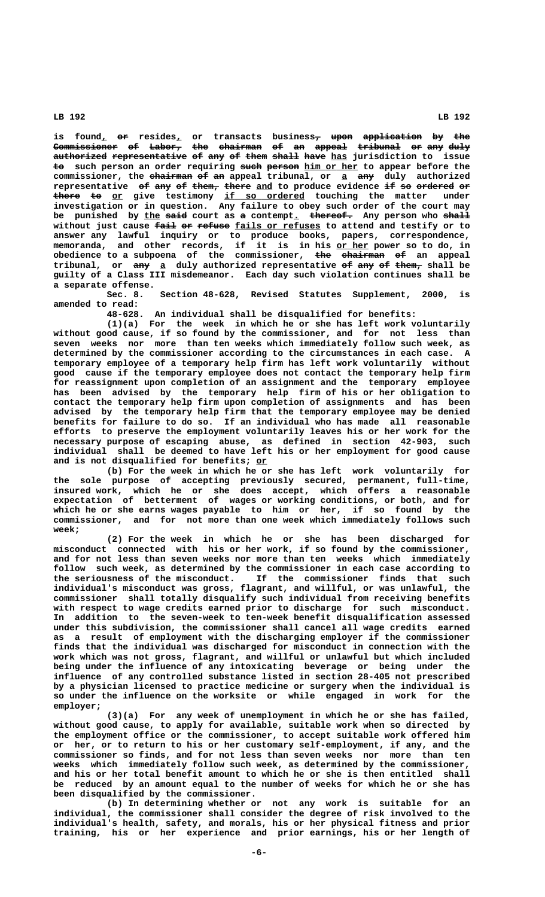$\boldsymbol{\mathrm{is}}$  found<u>,</u> <del>or</del> resides<u>,</u> or transacts business<del>, upon application</del> <del>by the</del> **Commissioner of Labor, the chairman of an appeal tribunal or any duly ———————————— —— —————— ——— ———————— —— —— —————— ———————— —— ——— ————**  $\overline{\text{autherford representative of any of them shall have has junction to issue}}$ **to** such person an order requiring such person him or her to appear before the commissioner, the chairman of an appeal tribunal, or a any duly authorized **representative of any of them, there and to produce evidence if so ordered or —— ——— —— ————— ————— \_\_\_ —— —— ——————— — there to or** give testimony <u>if so ordered</u> touching the matter under **investigation or in question. Any failure to obey such order of the court may** be punished by the said court as a contempt. thereof. Any person who shall without just cause <del>fail or refuse</del> <u>fails or refuses</u> to attend and testify or to **answer any lawful inquiry or to produce books, papers, correspondence,**  $m$ emoranda, and other records, if it is in his <u>or her</u> power so to do, in **obedience to a subpoena of the commissioner, the chairman of an appeal ——— ———————— —** tribunal, or  $\frac{amy}{2}$  duly authorized representative of  $\frac{amy}{2}$  of  $\frac{thcm}{2}$  shall be **guilty of a Class III misdemeanor. Each day such violation continues shall be a separate offense.**

**Sec. 8. Section 48-628, Revised Statutes Supplement, 2000, is amended to read:**

**48-628. An individual shall be disqualified for benefits:**

**(1)(a) For the week in which he or she has left work voluntarily without good cause, if so found by the commissioner, and for not less than seven weeks nor more than ten weeks which immediately follow such week, as determined by the commissioner according to the circumstances in each case. A temporary employee of a temporary help firm has left work voluntarily without good cause if the temporary employee does not contact the temporary help firm for reassignment upon completion of an assignment and the temporary employee has been advised by the temporary help firm of his or her obligation to contact the temporary help firm upon completion of assignments and has been advised by the temporary help firm that the temporary employee may be denied benefits for failure to do so. If an individual who has made all reasonable efforts to preserve the employment voluntarily leaves his or her work for the necessary purpose of escaping abuse, as defined in section 42-903, such individual shall be deemed to have left his or her employment for good cause \_\_ and is not disqualified for benefits; or**

**(b) For the week in which he or she has left work voluntarily for the sole purpose of accepting previously secured, permanent, full-time, insured work, which he or she does accept, which offers a reasonable expectation of betterment of wages or working conditions, or both, and for which he or she earns wages payable to him or her, if so found by the commissioner, and for not more than one week which immediately follows such week;**

**(2) For the week in which he or she has been discharged for misconduct connected with his or her work, if so found by the commissioner, and for not less than seven weeks nor more than ten weeks which immediately follow such week, as determined by the commissioner in each case according to the seriousness of the misconduct. If the commissioner finds that such individual's misconduct was gross, flagrant, and willful, or was unlawful, the commissioner shall totally disqualify such individual from receiving benefits with respect to wage credits earned prior to discharge for such misconduct. In addition to the seven-week to ten-week benefit disqualification assessed under this subdivision, the commissioner shall cancel all wage credits earned as a result of employment with the discharging employer if the commissioner finds that the individual was discharged for misconduct in connection with the work which was not gross, flagrant, and willful or unlawful but which included being under the influence of any intoxicating beverage or being under the influence of any controlled substance listed in section 28-405 not prescribed by a physician licensed to practice medicine or surgery when the individual is so under the influence on the worksite or while engaged in work for the employer;**

**(3)(a) For any week of unemployment in which he or she has failed, without good cause, to apply for available, suitable work when so directed by the employment office or the commissioner, to accept suitable work offered him or her, or to return to his or her customary self-employment, if any, and the commissioner so finds, and for not less than seven weeks nor more than ten weeks which immediately follow such week, as determined by the commissioner, and his or her total benefit amount to which he or she is then entitled shall be reduced by an amount equal to the number of weeks for which he or she has been disqualified by the commissioner.**

**(b) In determining whether or not any work is suitable for an individual, the commissioner shall consider the degree of risk involved to the individual's health, safety, and morals, his or her physical fitness and prior training, his or her experience and prior earnings, his or her length of**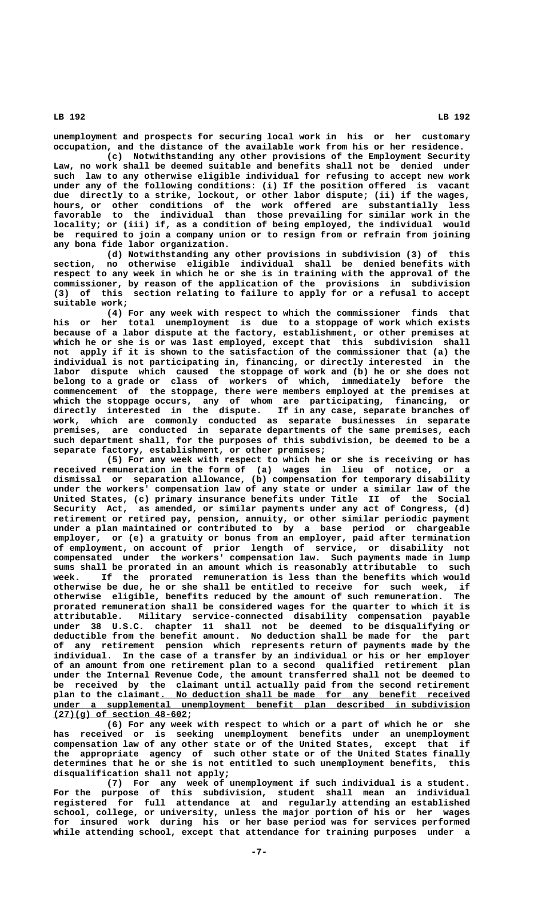**unemployment and prospects for securing local work in his or her customary occupation, and the distance of the available work from his or her residence.**

**(c) Notwithstanding any other provisions of the Employment Security Law, no work shall be deemed suitable and benefits shall not be denied under such law to any otherwise eligible individual for refusing to accept new work under any of the following conditions: (i) If the position offered is vacant due directly to a strike, lockout, or other labor dispute; (ii) if the wages, hours, or other conditions of the work offered are substantially less favorable to the individual than those prevailing for similar work in the locality; or (iii) if, as a condition of being employed, the individual would be required to join a company union or to resign from or refrain from joining any bona fide labor organization.**

**(d) Notwithstanding any other provisions in subdivision (3) of this section, no otherwise eligible individual shall be denied benefits with respect to any week in which he or she is in training with the approval of the commissioner, by reason of the application of the provisions in subdivision (3) of this section relating to failure to apply for or a refusal to accept suitable work;**

**(4) For any week with respect to which the commissioner finds that his or her total unemployment is due to a stoppage of work which exists because of a labor dispute at the factory, establishment, or other premises at which he or she is or was last employed, except that this subdivision shall not apply if it is shown to the satisfaction of the commissioner that (a) the individual is not participating in, financing, or directly interested in the labor dispute which caused the stoppage of work and (b) he or she does not belong to a grade or class of workers of which, immediately before the commencement of the stoppage, there were members employed at the premises at which the stoppage occurs, any of whom are participating, financing, or directly interested in the dispute. If in any case, separate branches of work, which are commonly conducted as separate businesses in separate premises, are conducted in separate departments of the same premises, each such department shall, for the purposes of this subdivision, be deemed to be a separate factory, establishment, or other premises;**

**(5) For any week with respect to which he or she is receiving or has received remuneration in the form of (a) wages in lieu of notice, or a dismissal or separation allowance, (b) compensation for temporary disability under the workers' compensation law of any state or under a similar law of the United States, (c) primary insurance benefits under Title II of the Social Security Act, as amended, or similar payments under any act of Congress, (d) retirement or retired pay, pension, annuity, or other similar periodic payment under a plan maintained or contributed to by a base period or chargeable employer, or (e) a gratuity or bonus from an employer, paid after termination of employment, on account of prior length of service, or disability not compensated under the workers' compensation law. Such payments made in lump sums shall be prorated in an amount which is reasonably attributable to such week. If the prorated remuneration is less than the benefits which would otherwise be due, he or she shall be entitled to receive for such week, if otherwise eligible, benefits reduced by the amount of such remuneration. The prorated remuneration shall be considered wages for the quarter to which it is attributable. Military service-connected disability compensation payable under 38 U.S.C. chapter 11 shall not be deemed to be disqualifying or deductible from the benefit amount. No deduction shall be made for the part of any retirement pension which represents return of payments made by the individual. In the case of a transfer by an individual or his or her employer of an amount from one retirement plan to a second qualified retirement plan under the Internal Revenue Code, the amount transferred shall not be deemed to be received by the claimant until actually paid from the second retirement** plan to the claimant. No deduction shall be made for any benefit received  **\_\_\_\_\_\_\_\_\_\_\_\_\_\_\_\_\_\_\_\_\_\_\_\_\_\_\_\_\_\_\_\_\_\_\_\_\_\_\_\_\_\_\_\_\_\_\_\_\_\_\_\_\_\_\_\_\_\_\_\_\_\_\_\_\_\_\_\_\_\_\_\_\_\_\_\_\_\_ under a supplemental unemployment benefit plan described in subdivision \_\_\_\_\_\_\_\_\_\_\_\_\_\_\_\_\_\_\_\_\_\_\_\_\_ (27)(g) of section 48-602;**

**(6) For any week with respect to which or a part of which he or she has received or is seeking unemployment benefits under an unemployment compensation law of any other state or of the United States, except that if the appropriate agency of such other state or of the United States finally determines that he or she is not entitled to such unemployment benefits, this disqualification shall not apply;**

**(7) For any week of unemployment if such individual is a student. For the purpose of this subdivision, student shall mean an individual registered for full attendance at and regularly attending an established school, college, or university, unless the major portion of his or her wages for insured work during his or her base period was for services performed while attending school, except that attendance for training purposes under a**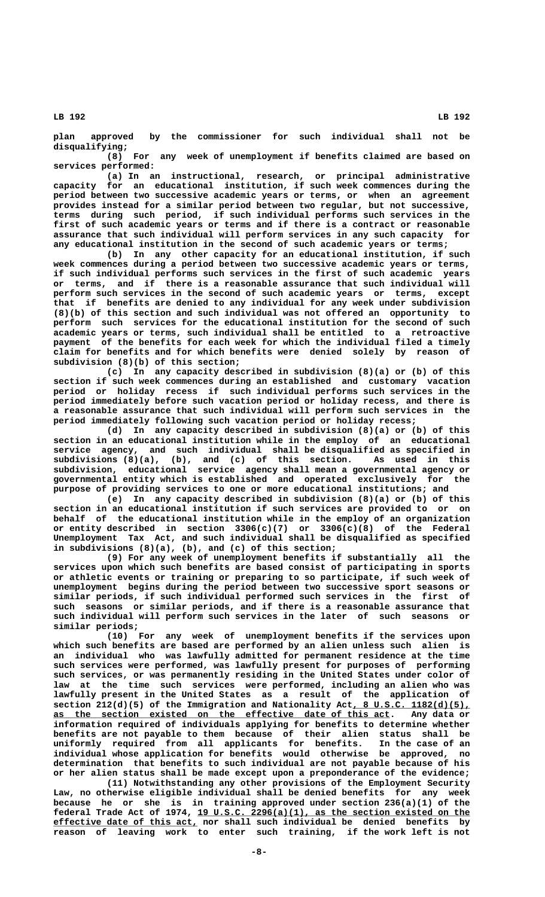**plan approved by the commissioner for such individual shall not be disqualifying;**

**(8) For any week of unemployment if benefits claimed are based on services performed:**

**(a) In an instructional, research, or principal administrative capacity for an educational institution, if such week commences during the period between two successive academic years or terms, or when an agreement provides instead for a similar period between two regular, but not successive, terms during such period, if such individual performs such services in the first of such academic years or terms and if there is a contract or reasonable assurance that such individual will perform services in any such capacity for any educational institution in the second of such academic years or terms;**

**(b) In any other capacity for an educational institution, if such week commences during a period between two successive academic years or terms, if such individual performs such services in the first of such academic years or terms, and if there is a reasonable assurance that such individual will perform such services in the second of such academic years or terms, except that if benefits are denied to any individual for any week under subdivision (8)(b) of this section and such individual was not offered an opportunity to perform such services for the educational institution for the second of such academic years or terms, such individual shall be entitled to a retroactive payment of the benefits for each week for which the individual filed a timely claim for benefits and for which benefits were denied solely by reason of subdivision (8)(b) of this section;**

**(c) In any capacity described in subdivision (8)(a) or (b) of this section if such week commences during an established and customary vacation period or holiday recess if such individual performs such services in the period immediately before such vacation period or holiday recess, and there is a reasonable assurance that such individual will perform such services in the period immediately following such vacation period or holiday recess;**

**(d) In any capacity described in subdivision (8)(a) or (b) of this section in an educational institution while in the employ of an educational service agency, and such individual shall be disqualified as specified in subdivisions (8)(a), (b), and (c) of this section. As used in this subdivision, educational service agency shall mean a governmental agency or governmental entity which is established and operated exclusively for the purpose of providing services to one or more educational institutions; and**

**(e) In any capacity described in subdivision (8)(a) or (b) of this section in an educational institution if such services are provided to or on behalf of the educational institution while in the employ of an organization or entity described in section 3306(c)(7) or 3306(c)(8) of the Federal Unemployment Tax Act, and such individual shall be disqualified as specified in subdivisions (8)(a), (b), and (c) of this section;**

**(9) For any week of unemployment benefits if substantially all the services upon which such benefits are based consist of participating in sports or athletic events or training or preparing to so participate, if such week of unemployment begins during the period between two successive sport seasons or similar periods, if such individual performed such services in the first of such seasons or similar periods, and if there is a reasonable assurance that such individual will perform such services in the later of such seasons or similar periods;**

**(10) For any week of unemployment benefits if the services upon which such benefits are based are performed by an alien unless such alien is an individual who was lawfully admitted for permanent residence at the time such services were performed, was lawfully present for purposes of performing such services, or was permanently residing in the United States under color of law at the time such services were performed, including an alien who was lawfully present in the United States as a result of the application of** section 212(d)(5) of the Immigration and Nationality Act, 8 U.S.C. 1182(d)(5),  **\_\_\_\_\_\_\_\_\_\_\_\_\_\_\_\_\_\_\_\_\_\_\_\_\_\_\_\_\_\_\_\_\_\_\_\_\_\_\_\_\_\_\_\_\_\_\_\_\_\_\_\_\_\_\_\_\_\_\_\_\_\_\_ as the section existed on the effective date of this act. Any data or information required of individuals applying for benefits to determine whether benefits are not payable to them because of their alien status shall be uniformly required from all applicants for benefits. In the case of an individual whose application for benefits would otherwise be approved, no determination that benefits to such individual are not payable because of his or her alien status shall be made except upon a preponderance of the evidence;**

**(11) Notwithstanding any other provisions of the Employment Security Law, no otherwise eligible individual shall be denied benefits for any week because he or she is in training approved under section 236(a)(1) of the \_\_\_\_\_\_\_\_\_\_\_\_\_\_\_\_\_\_\_\_\_\_\_\_\_\_\_\_\_\_\_\_\_\_\_\_\_\_\_\_\_\_\_\_\_\_\_\_\_\_\_ federal Trade Act of 1974, 19 U.S.C. 2296(a)(1), as the section existed on the \_\_\_\_\_\_\_\_\_\_\_\_\_\_\_\_\_\_\_\_\_\_\_\_\_\_\_ effective date of this act, nor shall such individual be denied benefits by reason of leaving work to enter such training, if the work left is not**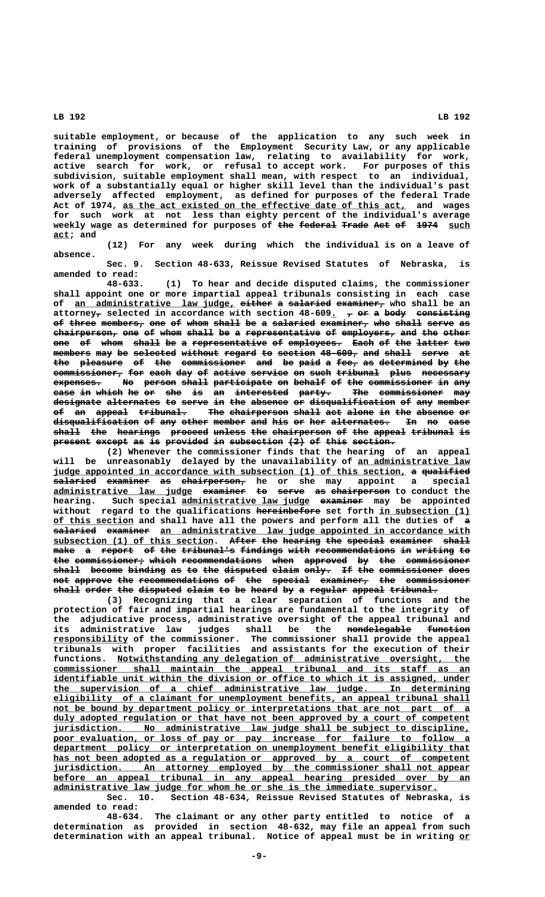**suitable employment, or because of the application to any such week in training of provisions of the Employment Security Law, or any applicable federal unemployment compensation law, relating to availability for work, active search for work, or refusal to accept work. For purposes of this subdivision, suitable employment shall mean, with respect to an individual, work of a substantially equal or higher skill level than the individual's past adversely affected employment, as defined for purposes of the federal Trade** Act of 1974, as the act existed on the effective date of this act, and wages **for such work at not less than eighty percent of the individual's average** weekly wage as determined for purposes of the federal Trade Act of 1974 such  **act; and \_\_\_**

**(12) For any week during which the individual is on a leave of absence.**

**Sec. 9. Section 48-633, Reissue Revised Statutes of Nebraska, is amended to read:**

**48-633. (1) To hear and decide disputed claims, the commissioner shall appoint one or more impartial appeal tribunals consisting in each case** of an administrative law judge, either a salaried examiner, who shall be an attorney<sub>7</sub> selected in accordance with section 48-609. 7 or a body consisting of three members, one of whom shall be a salaried examiner, who shall serve as  $chairperson<sub>r</sub>$  one of whom shall be a representative of employers<sub>7</sub> and the other one of whom shall be a representative of employees. Each of the latter two members may be selected without regard to section 48-609, and shall serve at the pleasure of the commissioner and be paid a fee<sub>7</sub> as determined by the  $\overline{\text{commi}}$  sioner, for each day of active service on such tribunal plus necessary expenses. No person shall participate on behalf of the commissioner in any case in which he or she is an interested party. The commissioner may **designate alternates to serve in the absence or disqualification of any member of an appeal tribunal. The chairperson shall act alone in the absence or —— —— —————— ————————— ——— ——————————— ————— ——— ————— —— ——— ——————— —** disqualification of any other member and his or her alternates. In no case  $\boldsymbol{\textbf{shall}}$  the hearings proceed unless the chairperson of the appeal tribunal is present except as is provided in subsection (2) of this section.

**(2) Whenever the commissioner finds that the hearing of an appeal will be unreasonably delayed by the unavailability of an administrative law \_\_\_\_\_\_\_\_\_\_\_\_\_\_\_\_\_\_\_\_\_ judge appointed in accordance with subsection (1) of this section, a qualified \_\_\_\_\_\_\_\_\_\_\_\_\_\_\_\_\_\_\_\_\_\_\_\_\_\_\_\_\_\_\_\_\_\_\_\_\_\_\_\_\_\_\_\_\_\_\_\_\_\_\_\_\_\_\_\_\_\_\_\_\_\_\_\_\_\_ — —————————**  ${\tt{salaried}}$  e<del>xaminer</del> <del>as chairperson,</del> he or she may appoint a special **administrative law judge examiner to serve as chairperson to conduct the \_\_\_\_\_\_\_\_\_\_\_\_\_\_\_\_\_\_\_\_\_\_\_\_\_\_ ———————— —— ————— —— ——————————** hearing. Such special administrative law judge examiner may be appointed  **———————————— \_\_\_\_\_\_\_\_\_\_\_\_\_\_\_\_\_ without regard to the qualifications hereinbefore set forth in subsection (1) \_\_\_\_\_\_\_\_\_\_\_\_\_\_\_ of this section and shall have all the powers and perform all the duties of a examiner an administrative law judge appointed in accordance with** subsection (1) of this section. After the hearing the special examiner shall make a report of the tribunal's findings with recommendations in writing to  $\frac{1}{2}$  the commissioner, which recommendations when approved by the commissioner shall become binding as to the disputed claim only. If the commissioner does  ${\small \textbf{not} \textbf{ a}}{\small \textbf{p}}{\small \textbf{re}}$  the recommendations of the special examiner, the commissioner shall order the disputed claim to be heard by a regular appeal tribunal.

**(3) Recognizing that a clear separation of functions and the protection of fair and impartial hearings are fundamental to the integrity of the adjudicative process, administrative oversight of the appeal tribunal and its administrative law judges shall be the nondelegable function ———————————— ———————— \_\_\_\_\_\_\_\_\_\_\_\_\_\_ responsibility of the commissioner. The commissioner shall provide the appeal tribunals with proper facilities and assistants for the execution of their \_\_\_\_\_\_\_\_\_\_\_\_\_\_\_\_\_\_\_\_\_\_\_\_\_\_\_\_\_\_\_\_\_\_\_\_\_\_\_\_\_\_\_\_\_\_\_\_\_\_\_\_\_\_\_\_\_\_\_\_\_\_\_\_\_\_ functions. Notwithstanding any delegation of administrative oversight, the \_\_\_\_\_\_\_\_\_\_\_\_\_\_\_\_\_\_\_\_\_\_\_\_\_\_\_\_\_\_\_\_\_\_\_\_\_\_\_\_\_\_\_\_\_\_\_\_\_\_\_\_\_\_\_\_\_\_\_\_\_\_\_\_\_\_\_\_\_\_\_\_\_\_\_\_\_\_ commissioner shall maintain the appeal tribunal and its staff as an \_\_\_\_\_\_\_\_\_\_\_\_\_\_\_\_\_\_\_\_\_\_\_\_\_\_\_\_\_\_\_\_\_\_\_\_\_\_\_\_\_\_\_\_\_\_\_\_\_\_\_\_\_\_\_\_\_\_\_\_\_\_\_\_\_\_\_\_\_\_\_\_\_\_\_\_\_\_ identifiable unit within the division or office to which it is assigned, under \_\_\_\_\_\_\_\_\_\_\_\_\_\_\_\_\_\_\_\_\_\_\_\_\_\_\_\_\_\_\_\_\_\_\_\_\_\_\_\_\_\_\_\_\_\_\_\_\_\_\_\_\_\_\_\_\_\_\_\_\_\_\_\_\_\_\_\_\_\_\_\_\_\_\_\_\_\_ the supervision of a chief administrative law judge. In determining \_\_\_\_\_\_\_\_\_\_\_\_\_\_\_\_\_\_\_\_\_\_\_\_\_\_\_\_\_\_\_\_\_\_\_\_\_\_\_\_\_\_\_\_\_\_\_\_\_\_\_\_\_\_\_\_\_\_\_\_\_\_\_\_\_\_\_\_\_\_\_\_\_\_\_\_\_\_ eligibility of a claimant for unemployment benefits, an appeal tribunal shall** not be bound by department policy or interpretations that are not part of a  $\frac{\text{duly adopted regulation or that have not been approved by a court of competent}{}$  **\_\_\_\_\_\_\_\_\_\_\_\_\_\_\_\_\_\_\_\_\_\_\_\_\_\_\_\_\_\_\_\_\_\_\_\_\_\_\_\_\_\_\_\_\_\_\_\_\_\_\_\_\_\_\_\_\_\_\_\_\_\_\_\_\_\_\_\_\_\_\_\_\_\_\_\_\_\_ jurisdiction. No administrative law judge shall be subject to discipline,** poor evaluation, or loss of pay or pay increase for failure to follow a  **\_\_\_\_\_\_\_\_\_\_\_\_\_\_\_\_\_\_\_\_\_\_\_\_\_\_\_\_\_\_\_\_\_\_\_\_\_\_\_\_\_\_\_\_\_\_\_\_\_\_\_\_\_\_\_\_\_\_\_\_\_\_\_\_\_\_\_\_\_\_\_\_\_\_\_\_\_\_ department policy or interpretation on unemployment benefit eligibility that** has not been adopted as a regulation or approved by a court of competent  **\_\_\_\_\_\_\_\_\_\_\_\_\_\_\_\_\_\_\_\_\_\_\_\_\_\_\_\_\_\_\_\_\_\_\_\_\_\_\_\_\_\_\_\_\_\_\_\_\_\_\_\_\_\_\_\_\_\_\_\_\_\_\_\_\_\_\_\_\_\_\_\_\_\_\_\_\_\_ jurisdiction. An attorney employed by the commissioner shall not appear \_\_\_\_\_\_\_\_\_\_\_\_\_\_\_\_\_\_\_\_\_\_\_\_\_\_\_\_\_\_\_\_\_\_\_\_\_\_\_\_\_\_\_\_\_\_\_\_\_\_\_\_\_\_\_\_\_\_\_\_\_\_\_\_\_\_\_\_\_\_\_\_\_\_\_\_\_\_ before an appeal tribunal in any appeal hearing presided over by an \_\_\_\_\_\_\_\_\_\_\_\_\_\_\_\_\_\_\_\_\_\_\_\_\_\_\_\_\_\_\_\_\_\_\_\_\_\_\_\_\_\_\_\_\_\_\_\_\_\_\_\_\_\_\_\_\_\_\_\_\_\_\_\_\_\_\_\_\_\_\_\_ administrative law judge for whom he or she is the immediate supervisor. Sec. 10. Section 48-634, Reissue Revised Statutes of Nebraska, is**

> **amended to read: 48-634. The claimant or any other party entitled to notice of a determination as provided in section 48-632, may file an appeal from such determination with an appeal tribunal. Notice of appeal must be in writing or\_\_**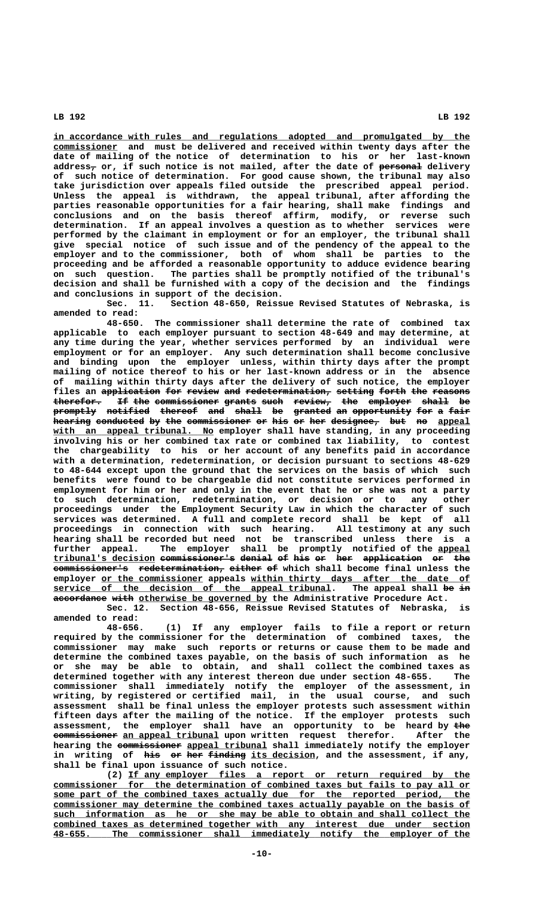**\_\_\_\_\_\_\_\_\_\_\_\_\_\_\_\_\_\_\_\_\_\_\_\_\_\_\_\_\_\_\_\_\_\_\_\_\_\_\_\_\_\_\_\_\_\_\_\_\_\_\_\_\_\_\_\_\_\_\_\_\_\_\_\_\_\_\_\_\_\_\_\_\_\_\_\_\_\_ in accordance with rules and regulations adopted and promulgated by the \_\_\_\_\_\_\_\_\_\_\_\_ commissioner and must be delivered and received within twenty days after the date of mailing of the notice of determination to his or her last-known — ———————— address, or, if such notice is not mailed, after the date of personal delivery of such notice of determination. For good cause shown, the tribunal may also take jurisdiction over appeals filed outside the prescribed appeal period. Unless the appeal is withdrawn, the appeal tribunal, after affording the parties reasonable opportunities for a fair hearing, shall make findings and conclusions and on the basis thereof affirm, modify, or reverse such determination. If an appeal involves a question as to whether services were performed by the claimant in employment or for an employer, the tribunal shall give special notice of such issue and of the pendency of the appeal to the employer and to the commissioner, both of whom shall be parties to the proceeding and be afforded a reasonable opportunity to adduce evidence bearing on such question. The parties shall be promptly notified of the tribunal's decision and shall be furnished with a copy of the decision and the findings and conclusions in support of the decision.**

**Sec. 11. Section 48-650, Reissue Revised Statutes of Nebraska, is amended to read:**

**48-650. The commissioner shall determine the rate of combined tax applicable to each employer pursuant to section 48-649 and may determine, at any time during the year, whether services performed by an individual were employment or for an employer. Any such determination shall become conclusive and binding upon the employer unless, within thirty days after the prompt mailing of notice thereof to his or her last-known address or in the absence of mailing within thirty days after the delivery of such notice, the employer** files an application for review and redetermination, setting forth the reasons  $\textbf{therefor.}$  If the commissioner grants such review, the employer shall be promptly notified thereof and shall be granted an opportunity for a fair hearing conducted by the commissioner or his or her designee, but no appeal  **\_\_\_\_\_\_\_\_\_\_\_\_\_\_\_\_\_\_\_\_\_\_\_\_\_\_\_\_\_\_ with an appeal tribunal. No employer shall have standing, in any proceeding involving his or her combined tax rate or combined tax liability, to contest the chargeability to his or her account of any benefits paid in accordance with a determination, redetermination, or decision pursuant to sections 48-629 to 48-644 except upon the ground that the services on the basis of which such benefits were found to be chargeable did not constitute services performed in employment for him or her and only in the event that he or she was not a party to such determination, redetermination, or decision or to any other proceedings under the Employment Security Law in which the character of such services was determined. A full and complete record shall be kept of all proceedings in connection with such hearing. All testimony at any such hearing shall be recorded but need not be transcribed unless there is a** further appeal. The employer shall be promptly notified of the appeal **tribunal's decision commissioner's denial of his or her application or the \_\_\_\_\_\_\_\_\_\_\_\_\_\_\_\_\_\_\_ —————————————— —————— —— ——— —— ——— ——————————— —— ——** commissioner's redetermination, either of which shall become final unless the  **\_\_\_\_\_\_\_\_\_\_\_\_\_\_\_\_\_\_\_ \_\_\_\_\_\_\_\_\_\_\_\_\_\_\_\_\_\_\_\_\_\_\_\_\_\_\_\_\_\_\_\_\_\_\_\_\_\_\_\_\_ employer or the commissioner appeals within thirty days after the date of**  $s$ ervice of the decision of the appeal tribunal. The appeal shall be in accordance with otherwise be governed by the Administrative Procedure Act.

**Sec. 12. Section 48-656, Reissue Revised Statutes of Nebraska, is amended to read:**

**48-656. (1) If any employer fails to file a report or return required by the commissioner for the determination of combined taxes, the commissioner may make such reports or returns or cause them to be made and determine the combined taxes payable, on the basis of such information as he or she may be able to obtain, and shall collect the combined taxes as determined together with any interest thereon due under section 48-655. The commissioner shall immediately notify the employer of the assessment, in writing, by registered or certified mail, in the usual course, and such assessment shall be final unless the employer protests such assessment within fifteen days after the mailing of the notice. If the employer protests such** assessment, the employer shall have an opportunity to be heard by the  **———————————— \_\_\_\_\_\_\_\_\_\_\_\_\_\_\_\_\_\_ commissioner an appeal tribunal upon written request therefor. After the** hearing the commissioner appeal tribunal shall immediately notify the employer in writing of his or her finding its decision, and the assessment, if any, **shall be final upon issuance of such notice.**

 **\_\_\_\_\_\_\_\_\_\_\_\_\_\_\_\_\_\_\_\_\_\_\_\_\_\_\_\_\_\_\_\_\_\_\_\_\_\_\_\_\_\_\_\_\_\_\_\_\_\_\_\_\_\_\_\_\_\_\_\_\_\_\_\_ (2) If any employer files a report or return required by the \_\_\_\_\_\_\_\_\_\_\_\_\_\_\_\_\_\_\_\_\_\_\_\_\_\_\_\_\_\_\_\_\_\_\_\_\_\_\_\_\_\_\_\_\_\_\_\_\_\_\_\_\_\_\_\_\_\_\_\_\_\_\_\_\_\_\_\_\_\_\_\_\_\_\_\_\_\_ commissioner for the determination of combined taxes but fails to pay all or** some part of the combined taxes actually due for the reported period, the  **\_\_\_\_\_\_\_\_\_\_\_\_\_\_\_\_\_\_\_\_\_\_\_\_\_\_\_\_\_\_\_\_\_\_\_\_\_\_\_\_\_\_\_\_\_\_\_\_\_\_\_\_\_\_\_\_\_\_\_\_\_\_\_\_\_\_\_\_\_\_\_\_\_\_\_\_\_\_ commissioner may determine the combined taxes actually payable on the basis of \_\_\_\_\_\_\_\_\_\_\_\_\_\_\_\_\_\_\_\_\_\_\_\_\_\_\_\_\_\_\_\_\_\_\_\_\_\_\_\_\_\_\_\_\_\_\_\_\_\_\_\_\_\_\_\_\_\_\_\_\_\_\_\_\_\_\_\_\_\_\_\_\_\_\_\_\_\_ such information as he or she may be able to obtain and shall collect the \_\_\_\_\_\_\_\_\_\_\_\_\_\_\_\_\_\_\_\_\_\_\_\_\_\_\_\_\_\_\_\_\_\_\_\_\_\_\_\_\_\_\_\_\_\_\_\_\_\_\_\_\_\_\_\_\_\_\_\_\_\_\_\_\_\_\_\_\_\_\_\_\_\_\_\_\_\_ combined taxes as determined together with any interest due under section \_\_\_\_\_\_\_\_\_\_\_\_\_\_\_\_\_\_\_\_\_\_\_\_\_\_\_\_\_\_\_\_\_\_\_\_\_\_\_\_\_\_\_\_\_\_\_\_\_\_\_\_\_\_\_\_\_\_\_\_\_\_\_\_\_\_\_\_\_\_\_\_\_\_\_\_\_\_ 48-655. The commissioner shall immediately notify the employer of the**

 **LB 192 LB 192**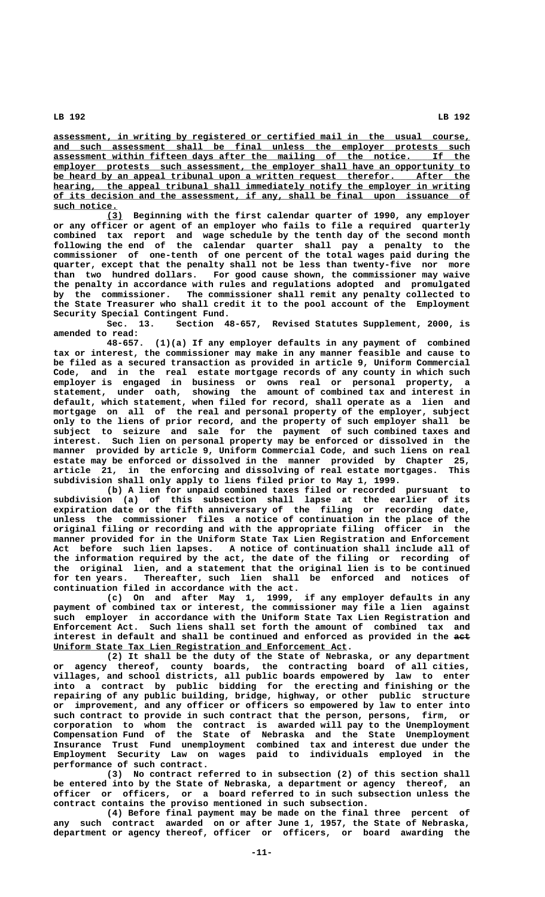**\_\_\_\_\_\_\_\_\_\_\_\_\_\_\_\_\_\_\_\_\_\_\_\_\_\_\_\_\_\_\_\_\_\_\_\_\_\_\_\_\_\_\_\_\_\_\_\_\_\_\_\_\_\_\_\_\_\_\_\_\_\_\_\_\_\_\_\_\_\_\_\_\_\_\_\_\_\_ assessment, in writing by registered or certified mail in the usual course, \_\_\_\_\_\_\_\_\_\_\_\_\_\_\_\_\_\_\_\_\_\_\_\_\_\_\_\_\_\_\_\_\_\_\_\_\_\_\_\_\_\_\_\_\_\_\_\_\_\_\_\_\_\_\_\_\_\_\_\_\_\_\_\_\_\_\_\_\_\_\_\_\_\_\_\_\_\_ and such assessment shall be final unless the employer protests such \_\_\_\_\_\_\_\_\_\_\_\_\_\_\_\_\_\_\_\_\_\_\_\_\_\_\_\_\_\_\_\_\_\_\_\_\_\_\_\_\_\_\_\_\_\_\_\_\_\_\_\_\_\_\_\_\_\_\_\_\_\_\_\_\_\_\_\_\_\_\_\_\_\_\_\_\_\_ assessment within fifteen days after the mailing of the notice. If the \_\_\_\_\_\_\_\_\_\_\_\_\_\_\_\_\_\_\_\_\_\_\_\_\_\_\_\_\_\_\_\_\_\_\_\_\_\_\_\_\_\_\_\_\_\_\_\_\_\_\_\_\_\_\_\_\_\_\_\_\_\_\_\_\_\_\_\_\_\_\_\_\_\_\_\_\_\_ employer protests such assessment, the employer shall have an opportunity to** be heard by an appeal tribunal upon a written request therefor. After the hearing, the appeal tribunal shall immediately notify the employer in writing  **\_\_\_\_\_\_\_\_\_\_\_\_\_\_\_\_\_\_\_\_\_\_\_\_\_\_\_\_\_\_\_\_\_\_\_\_\_\_\_\_\_\_\_\_\_\_\_\_\_\_\_\_\_\_\_\_\_\_\_\_\_\_\_\_\_\_\_\_\_\_\_\_\_\_\_\_\_\_ of its decision and the assessment, if any, shall be final upon issuance of such notice. \_\_\_\_\_\_\_\_\_\_\_\_**

 **\_\_\_ (3) Beginning with the first calendar quarter of 1990, any employer or any officer or agent of an employer who fails to file a required quarterly combined tax report and wage schedule by the tenth day of the second month following the end of the calendar quarter shall pay a penalty to the commissioner of one-tenth of one percent of the total wages paid during the quarter, except that the penalty shall not be less than twenty-five nor more than two hundred dollars. For good cause shown, the commissioner may waive the penalty in accordance with rules and regulations adopted and promulgated by the commissioner. The commissioner shall remit any penalty collected to the State Treasurer who shall credit it to the pool account of the Employment Security Special Contingent Fund.**

**Sec. 13. Section 48-657, Revised Statutes Supplement, 2000, is amended to read:**

**48-657. (1)(a) If any employer defaults in any payment of combined tax or interest, the commissioner may make in any manner feasible and cause to be filed as a secured transaction as provided in article 9, Uniform Commercial Code, and in the real estate mortgage records of any county in which such employer is engaged in business or owns real or personal property, a statement, under oath, showing the amount of combined tax and interest in default, which statement, when filed for record, shall operate as a lien and mortgage on all of the real and personal property of the employer, subject only to the liens of prior record, and the property of such employer shall be subject to seizure and sale for the payment of such combined taxes and interest. Such lien on personal property may be enforced or dissolved in the manner provided by article 9, Uniform Commercial Code, and such liens on real estate may be enforced or dissolved in the manner provided by Chapter 25, article 21, in the enforcing and dissolving of real estate mortgages. This subdivision shall only apply to liens filed prior to May 1, 1999.**

**(b) A lien for unpaid combined taxes filed or recorded pursuant to subdivision (a) of this subsection shall lapse at the earlier of its expiration date or the fifth anniversary of the filing or recording date, unless the commissioner files a notice of continuation in the place of the original filing or recording and with the appropriate filing officer in the manner provided for in the Uniform State Tax Lien Registration and Enforcement Act before such lien lapses. A notice of continuation shall include all of the information required by the act, the date of the filing or recording of the original lien, and a statement that the original lien is to be continued for ten years. Thereafter, such lien shall be enforced and notices of continuation filed in accordance with the act.**

**(c)** On and after May 1, 1999, **payment of combined tax or interest, the commissioner may file a lien against such employer in accordance with the Uniform State Tax Lien Registration and Enforcement Act. Such liens shall set forth the amount of combined tax and** interest in default and shall be continued and enforced as provided in the aet  **\_\_\_\_\_\_\_\_\_\_\_\_\_\_\_\_\_\_\_\_\_\_\_\_\_\_\_\_\_\_\_\_\_\_\_\_\_\_\_\_\_\_\_\_\_\_\_\_\_\_\_\_\_\_\_ Uniform State Tax Lien Registration and Enforcement Act.**

**(2) It shall be the duty of the State of Nebraska, or any department or agency thereof, county boards, the contracting board of all cities, villages, and school districts, all public boards empowered by law to enter into a contract by public bidding for the erecting and finishing or the repairing of any public building, bridge, highway, or other public structure or improvement, and any officer or officers so empowered by law to enter into such contract to provide in such contract that the person, persons, firm, or corporation to whom the contract is awarded will pay to the Unemployment Compensation Fund of the State of Nebraska and the State Unemployment Insurance Trust Fund unemployment combined tax and interest due under the Employment Security Law on wages paid to individuals employed in the performance of such contract.**

**(3) No contract referred to in subsection (2) of this section shall be entered into by the State of Nebraska, a department or agency thereof, an officer or officers, or a board referred to in such subsection unless the contract contains the proviso mentioned in such subsection.**

**(4) Before final payment may be made on the final three percent of any such contract awarded on or after June 1, 1957, the State of Nebraska, department or agency thereof, officer or officers, or board awarding the**